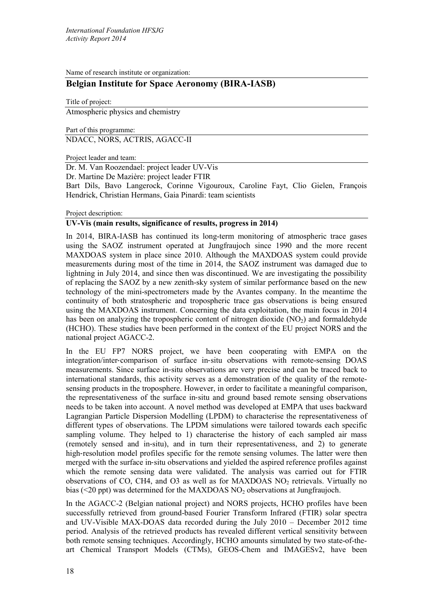Name of research institute or organization:

# **Belgian Institute for Space Aeronomy (BIRA-IASB)**

Title of project: Atmospheric physics and chemistry

Part of this programme: NDACC, NORS, ACTRIS, AGACC-II

Project leader and team:

Dr. M. Van Roozendael: project leader UV-Vis

Dr. Martine De Mazière: project leader FTIR

Bart Dils, Bavo Langerock, Corinne Vigouroux, Caroline Fayt, Clio Gielen, François Hendrick, Christian Hermans, Gaia Pinardi: team scientists

Project description:

# **UV-Vis (main results, significance of results, progress in 2014)**

In 2014, BIRA-IASB has continued its long-term monitoring of atmospheric trace gases using the SAOZ instrument operated at Jungfraujoch since 1990 and the more recent MAXDOAS system in place since 2010. Although the MAXDOAS system could provide measurements during most of the time in 2014, the SAOZ instrument was damaged due to lightning in July 2014, and since then was discontinued. We are investigating the possibility of replacing the SAOZ by a new zenith-sky system of similar performance based on the new technology of the mini-spectrometers made by the Avantes company. In the meantime the continuity of both stratospheric and tropospheric trace gas observations is being ensured using the MAXDOAS instrument. Concerning the data exploitation, the main focus in 2014 has been on analyzing the tropospheric content of nitrogen dioxide  $(NO<sub>2</sub>)$  and formaldehyde (HCHO). These studies have been performed in the context of the EU project NORS and the national project AGACC-2.

In the EU FP7 NORS project, we have been cooperating with EMPA on the integration/inter-comparison of surface in-situ observations with remote-sensing DOAS measurements. Since surface in‐situ observations are very precise and can be traced back to international standards, this activity serves as a demonstration of the quality of the remotesensing products in the troposphere. However, in order to facilitate a meaningful comparison, the representativeness of the surface in‐situ and ground based remote sensing observations needs to be taken into account. A novel method was developed at EMPA that uses backward Lagrangian Particle Dispersion Modelling (LPDM) to characterise the representativeness of different types of observations. The LPDM simulations were tailored towards each specific sampling volume. They helped to 1) characterise the history of each sampled air mass (remotely sensed and in‐situ), and in turn their representativeness, and 2) to generate high-resolution model profiles specific for the remote sensing volumes. The latter were then merged with the surface in‐situ observations and yielded the aspired reference profiles against which the remote sensing data were validated. The analysis was carried out for FTIR observations of CO, CH4, and O3 as well as for MAXDOAS  $NO<sub>2</sub>$  retrievals. Virtually no bias  $( $20 \text{ ppt}$ )$  was determined for the MAXDOAS NO<sub>2</sub> observations at Jungfraujoch.

<span id="page-0-0"></span>In the AGACC-2 (Belgian national project) and NORS projects, HCHO profiles have been successfully retrieved from ground-based Fourier Transform Infrared (FTIR) solar spectra and UV-Visible MAX-DOAS data recorded during the July 2010 – December 2012 time period. Analysis of the retrieved products has revealed different vertical sensitivity between both remote sensing techniques. Accordingly, HCHO amounts simulated by two state-of-theart Chemical Transport Models (CTMs), GEOS-Chem and IMAGESv2, have been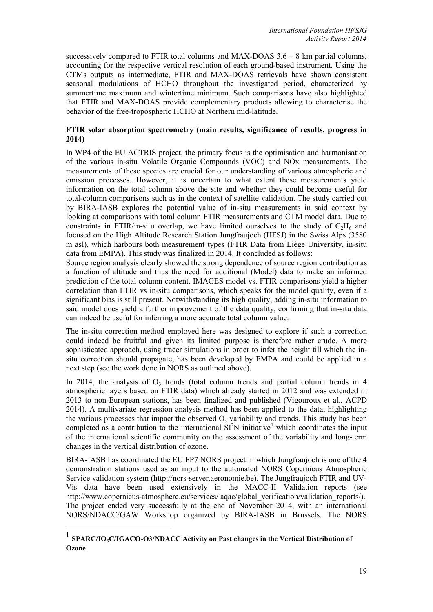successively compared to FTIR total columns and MAX-DOAS 3.6 – 8 km partial columns, accounting for the respective vertical resolution of each ground-based instrument. Using the CTMs outputs as intermediate, FTIR and MAX-DOAS retrievals have shown consistent seasonal modulations of HCHO throughout the investigated period, characterized by summertime maximum and wintertime minimum. Such comparisons have also highlighted that FTIR and MAX-DOAS provide complementary products allowing to characterise the behavior of the free-tropospheric HCHO at Northern mid-latitude.

# **FTIR solar absorption spectrometry (main results, significance of results, progress in 2014)**

In WP4 of the EU ACTRIS project, the primary focus is the optimisation and harmonisation of the various in-situ Volatile Organic Compounds (VOC) and NOx measurements. The measurements of these species are crucial for our understanding of various atmospheric and emission processes. However, it is uncertain to what extent these measurements yield information on the total column above the site and whether they could become useful for total-column comparisons such as in the context of satellite validation. The study carried out by BIRA-IASB explores the potential value of in-situ measurements in said context by looking at comparisons with total column FTIR measurements and CTM model data. Due to constraints in FTIR/in-situ overlap, we have limited ourselves to the study of  $C_2H_6$  and focused on the High Altitude Research Station Jungfraujoch (HFSJ) in the Swiss Alps (3580 m asl), which harbours both measurement types (FTIR Data from Liège University, in-situ data from EMPA). This study was finalized in 2014. It concluded as follows:

Source region analysis clearly showed the strong dependence of source region contribution as a function of altitude and thus the need for additional (Model) data to make an informed prediction of the total column content. IMAGES model vs. FTIR comparisons yield a higher correlation than FTIR vs in-situ comparisons, which speaks for the model quality, even if a significant bias is still present. Notwithstanding its high quality, adding in-situ information to said model does yield a further improvement of the data quality, confirming that in-situ data can indeed be useful for inferring a more accurate total column value.

The in-situ correction method employed here was designed to explore if such a correction could indeed be fruitful and given its limited purpose is therefore rather crude. A more sophisticated approach, using tracer simulations in order to infer the height till which the insitu correction should propagate, has been developed by EMPA and could be applied in a next step (see the work done in NORS as outlined above).

In 2014, the analysis of  $O<sub>3</sub>$  trends (total column trends and partial column trends in 4 atmospheric layers based on FTIR data) which already started in 2012 and was extended in 2013 to non-European stations, has been finalized and published (Vigouroux et al., ACPD 2014). A multivariate regression analysis method has been applied to the data, highlighting the various processes that impact the observed  $O_3$  variability and trends. This study has been completed as a contribution to the international  $SI<sup>2</sup>N$  initiative<sup>[1](#page-0-0)</sup> which coordinates the input of the international scientific community on the assessment of the variability and long-term changes in the vertical distribution of ozone.

BIRA-IASB has coordinated the EU FP7 NORS project in which Jungfraujoch is one of the 4 demonstration stations used as an input to the automated NORS Copernicus Atmospheric Service validation system (http://nors-server.aeronomie.be). The Jungfraujoch FTIR and UV-Vis data have been used extensively in the MACC-II Validation reports (see http://www.copernicus-atmosphere.eu/services/ aqac/global\_verification/validation\_reports/). The project ended very successfully at the end of November 2014, with an international NORS/NDACC/GAW Workshop organized by BIRA-IASB in Brussels. The NORS

 <sup>1</sup> **SPARC/IO3C/IGACO-O3/NDACC Activity on Past changes in the Vertical Distribution of Ozone**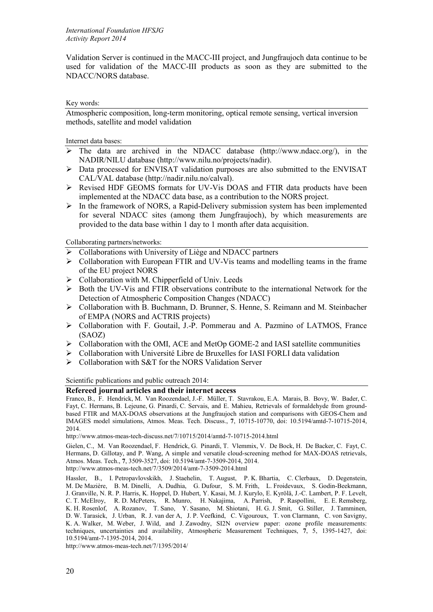Validation Server is continued in the MACC-III project, and Jungfraujoch data continue to be used for validation of the MACC-III products as soon as they are submitted to the NDACC/NORS database.

### Key words:

Atmospheric composition, long-term monitoring, optical remote sensing, vertical inversion methods, satellite and model validation

Internet data bases:

- $\triangleright$  The data are archived in the NDACC database (http://www.ndacc.org/), in the NADIR/NILU database (http://www.nilu.no/projects/nadir).
- $\triangleright$  Data processed for ENVISAT validation purposes are also submitted to the ENVISAT CAL/VAL database (http://nadir.nilu.no/calval).
- Revised HDF GEOMS formats for UV-Vis DOAS and FTIR data products have been implemented at the NDACC data base, as a contribution to the NORS project.
- $\triangleright$  In the framework of NORS, a Rapid-Delivery submission system has been implemented for several NDACC sites (among them Jungfraujoch), by which measurements are provided to the data base within 1 day to 1 month after data acquisition.

Collaborating partners/networks:

- Collaborations with University of Liège and NDACC partners
- $\triangleright$  Collaboration with European FTIR and UV-Vis teams and modelling teams in the frame of the EU project NORS
- $\triangleright$  Collaboration with M. Chipperfield of Univ. Leeds
- $\triangleright$  Both the UV-Vis and FTIR observations contribute to the international Network for the Detection of Atmospheric Composition Changes (NDACC)
- Collaboration with B. Buchmann, D. Brunner, S. Henne, S. Reimann and M. Steinbacher of EMPA (NORS and ACTRIS projects)
- $\triangleright$  Collaboration with F. Goutail, J.-P. Pommerau and A. Pazmino of LATMOS, France (SAOZ)
- $\triangleright$  Collaboration with the OMI, ACE and MetOp GOME-2 and IASI satellite communities
- $\triangleright$  Collaboration with Université Libre de Bruxelles for IASI FORLI data validation
- $\triangleright$  Collaboration with S&T for the NORS Validation Server

Scientific publications and public outreach 2014:

# **Refereed journal articles and their internet access**

Franco, B., F. Hendrick, M. Van Roozendael, J.-F. Müller, T. Stavrakou, E.A. Marais, B. Bovy, W. Bader, C. Fayt, C. Hermans, B. Lejeune, G. Pinardi, C. Servais, and E. Mahieu, Retrievals of formaldehyde from groundbased FTIR and MAX-DOAS observations at the Jungfraujoch station and comparisons with GEOS-Chem and IMAGES model simulations, Atmos. Meas. Tech. Discuss., **7**, 10715-10770, doi: 10.5194/amtd-7-10715-2014, 2014.

<http://www.atmos-meas-tech-discuss.net/7/10715/2014/amtd-7-10715-2014.html>

Gielen, C., M. Van Roozendael, F. Hendrick, G. Pinardi, T. Vlemmix, V. De Bock, H. De Backer, C. Fayt, C. Hermans, D. Gillotay, and P. Wang, A simple and versatile cloud-screening method for MAX-DOAS retrievals, Atmos. Meas. Tech., **7**, 3509-3527, doi: 10.5194/amt-7-3509-2014, 2014.

<http://www.atmos-meas-tech.net/7/3509/2014/amt-7-3509-2014.html>

Hassler, B., I. Petropavlovskikh, J. Staehelin, T. August, P. K. Bhartia, C. Clerbaux, D. Degenstein, M. De Mazière, B. M. Dinelli, A. Dudhia, G. Dufour, S. M. Frith, L. Froidevaux, S. Godin-Beekmann, J. Granville, N. R. P. Harris, K. Hoppel, D. Hubert, Y. Kasai, M. J. Kurylo, E. Kyrölä, J.-C. Lambert, P. F. Levelt, C. T. McElroy, R. D. McPeters, R. Munro, H. Nakajima, A. Parrish, P. Raspollini, E. E. Remsberg, K. H. Rosenlof, A. Rozanov, T. Sano, Y. Sasano, M. Shiotani, H. G. J. Smit, G. Stiller, J. Tamminen, D. W. Tarasick, J. Urban, R. J. van der A, J. P. Veefkind, C. Vigouroux, T. von Clarmann, C. von Savigny, K. A. Walker, M. Weber, J. Wild, and J. Zawodny, SI2N overview paper: ozone profile measurements: techniques, uncertainties and availability, Atmospheric Measurement Techniques, **7**, 5, 1395-1427, [doi:](http://www.atmos-meas-tech.net/7/1395/2014/amt-7-1395-2014.pdf) [10.5194/amt-7-1395-2014](http://www.atmos-meas-tech.net/7/1395/2014/amt-7-1395-2014.pdf), 2014.

http://www.atmos-meas-tech.net/7/1395/2014/